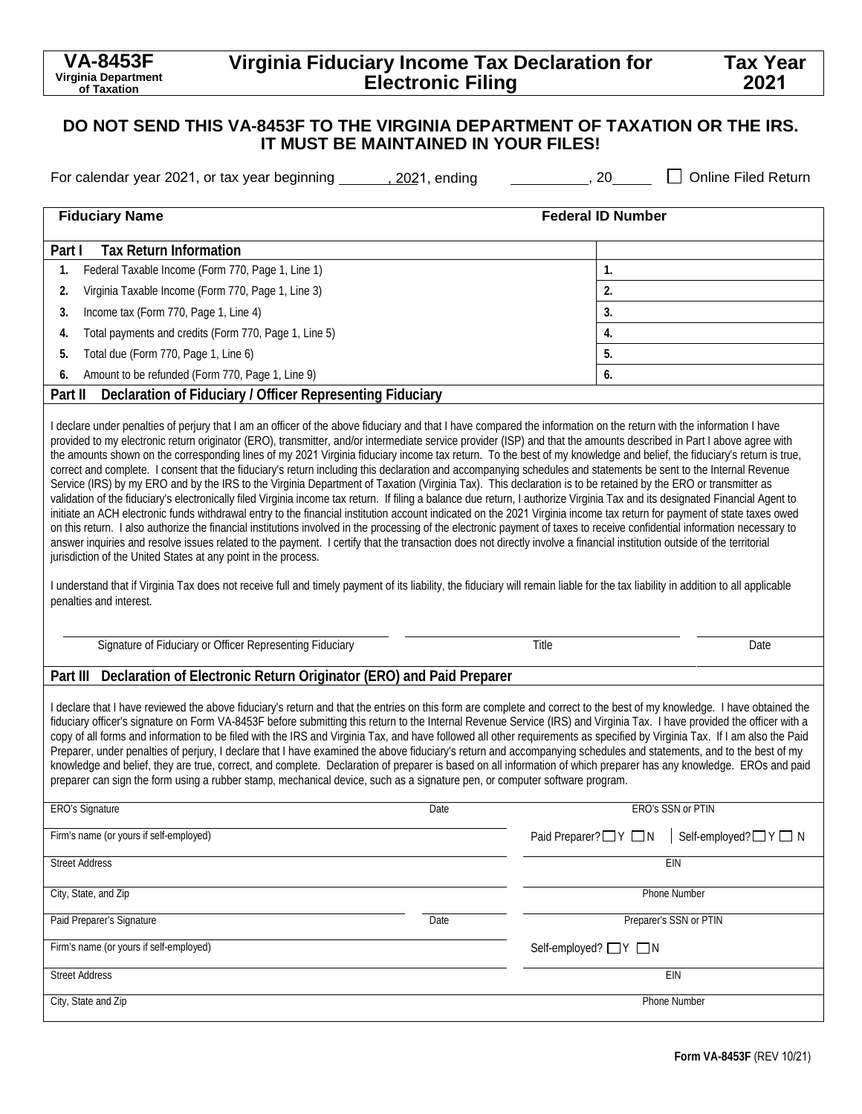# **Virginia Fiduciary Income Tax Declaration for Electronic Filing**

# **DO NOT SEND THIS VA-8453F TO THE VIRGINIA DEPARTMENT OF TAXATION OR THE IRS. IT MUST BE MAINTAINED IN YOUR FILES!**

For calendar year 2021, or tax year beginning  $\frac{2021}{1}$ , ending  $\frac{2020}{1}$ , 20  $\frac{20}{1}$  Online Filed Return

| <b>Fiduciary Name</b>                                                | <b>Federal ID Number</b> |
|----------------------------------------------------------------------|--------------------------|
| <b>Tax Return Information</b><br>Part I                              |                          |
| Federal Taxable Income (Form 770, Page 1, Line 1)                    | 1.                       |
| Virginia Taxable Income (Form 770, Page 1, Line 3)<br>2.             | 2.                       |
| Income tax (Form 770, Page 1, Line 4)<br>3.                          | 3.                       |
| Total payments and credits (Form 770, Page 1, Line 5)<br>4.          | 4.                       |
| Total due (Form 770, Page 1, Line 6)<br>5.                           | 5.                       |
| Amount to be refunded (Form 770, Page 1, Line 9)<br>6.               | 6.                       |
| Declaration of Fiduciary / Officer Representing Fiduciary<br>Part II |                          |

I declare under penalties of perjury that I am an officer of the above fiduciary and that I have compared the information on the return with the information I have provided to my electronic return originator (ERO), transmitter, and/or intermediate service provider (ISP) and that the amounts described in Part I above agree with the amounts shown on the corresponding lines of my 2021 Virginia fiduciary income tax return. To the best of my knowledge and belief, the fiduciary's return is true, correct and complete. I consent that the fiduciary's return including this declaration and accompanying schedules and statements be sent to the Internal Revenue Service (IRS) by my ERO and by the IRS to the Virginia Department of Taxation (Virginia Tax). This declaration is to be retained by the ERO or transmitter as validation of the fiduciary's electronically filed Virginia income tax return. If filing a balance due return, I authorize Virginia Tax and its designated Financial Agent to initiate an ACH electronic funds withdrawal entry to the financial institution account indicated on the 2021 Virginia income tax return for payment of state taxes owed on this return. I also authorize the financial institutions involved in the processing of the electronic payment of taxes to receive confidential information necessary to answer inquiries and resolve issues related to the payment. I certify that the transaction does not directly involve a financial institution outside of the territorial jurisdiction of the United States at any point in the process.

I understand that if Virginia Tax does not receive full and timely payment of its liability, the fiduciary will remain liable for the tax liability in addition to all applicable penalties and interest.

Signature of Fiduciary or Officer Representing Fiduciary **The Contract Contract Contract Contract Contract Contract Contract Contract Contract Contract Contract Contract Contract Contract Contract Contract Contract Contrac** 

## **Part III Declaration of Electronic Return Originator (ERO) and Paid Preparer**

I declare that I have reviewed the above fiduciary's return and that the entries on this form are complete and correct to the best of my knowledge. I have obtained the fiduciary officer's signature on Form VA-8453F before submitting this return to the Internal Revenue Service (IRS) and Virginia Tax. I have provided the officer with a copy of all forms and information to be filed with the IRS and Virginia Tax, and have followed all other requirements as specified by Virginia Tax. If I am also the Paid Preparer, under penalties of perjury, I declare that I have examined the above fiduciary's return and accompanying schedules and statements, and to the best of my knowledge and belief, they are true, correct, and complete. Declaration of preparer is based on all information of which preparer has any knowledge. EROs and paid preparer can sign the form using a rubber stamp, mechanical device, such as a signature pen, or computer software program.

| <b>ERO's Signature</b>                  | Date | ERO's SSN or PTIN                            |
|-----------------------------------------|------|----------------------------------------------|
| Firm's name (or yours if self-employed) |      | Self-employed?□Y□N<br>Paid Preparer? □ Y □ N |
| <b>Street Address</b>                   |      | EIN                                          |
| City, State, and Zip                    |      | <b>Phone Number</b>                          |
| Paid Preparer's Signature               | Date | Preparer's SSN or PTIN                       |
| Firm's name (or yours if self-employed) |      | Self-employed? ■Y ■N                         |
| <b>Street Address</b>                   |      | EIN                                          |
| City, State and Zip                     |      | <b>Phone Number</b>                          |